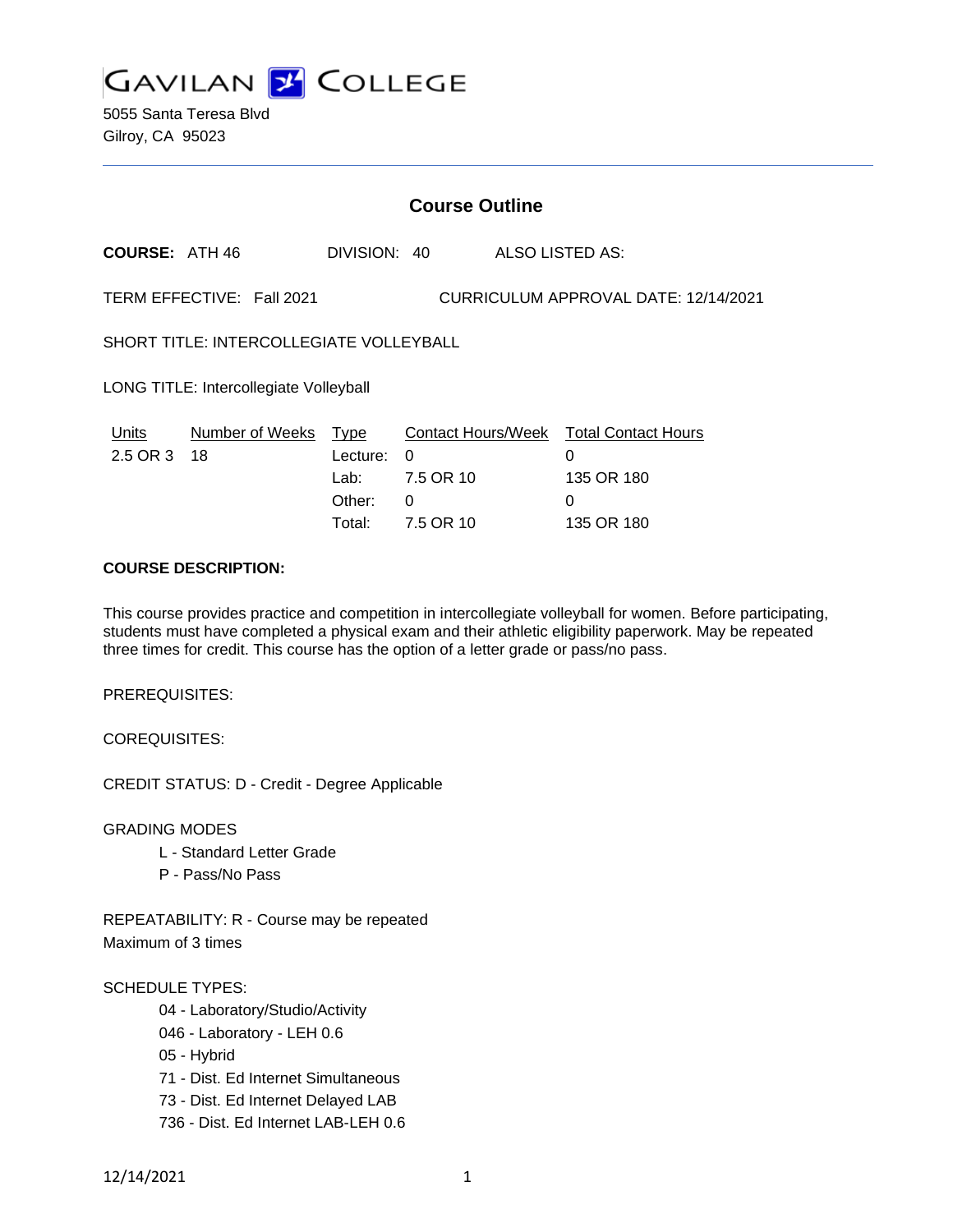

5055 Santa Teresa Blvd Gilroy, CA 95023

| <b>Course Outline</b>                                             |                 |              |           |  |                                        |
|-------------------------------------------------------------------|-----------------|--------------|-----------|--|----------------------------------------|
| <b>COURSE: ATH 46</b>                                             |                 | DIVISION: 40 |           |  | ALSO LISTED AS:                        |
| CURRICULUM APPROVAL DATE: 12/14/2021<br>TERM EFFECTIVE: Fall 2021 |                 |              |           |  |                                        |
| <b>SHORT TITLE: INTERCOLLEGIATE VOLLEYBALL</b>                    |                 |              |           |  |                                        |
| LONG TITLE: Intercollegiate Volleyball                            |                 |              |           |  |                                        |
| Units                                                             | Number of Weeks | Type         |           |  | Contact Hours/Week Total Contact Hours |
| 2.5 OR 3                                                          | 18              | Lecture:     | 0         |  | 0                                      |
|                                                                   |                 | Lab:         | 7.5 OR 10 |  | 135 OR 180                             |
|                                                                   |                 | Other:       | 0         |  | 0                                      |
|                                                                   |                 | Total:       | 7.5 OR 10 |  | 135 OR 180                             |

## **COURSE DESCRIPTION:**

This course provides practice and competition in intercollegiate volleyball for women. Before participating, students must have completed a physical exam and their athletic eligibility paperwork. May be repeated three times for credit. This course has the option of a letter grade or pass/no pass.

PREREQUISITES:

COREQUISITES:

CREDIT STATUS: D - Credit - Degree Applicable

GRADING MODES

- L Standard Letter Grade
- P Pass/No Pass

REPEATABILITY: R - Course may be repeated Maximum of 3 times

#### SCHEDULE TYPES:

- 04 Laboratory/Studio/Activity
- 046 Laboratory LEH 0.6
- 05 Hybrid
- 71 Dist. Ed Internet Simultaneous
- 73 Dist. Ed Internet Delayed LAB
- 736 Dist. Ed Internet LAB-LEH 0.6

12/14/2021 1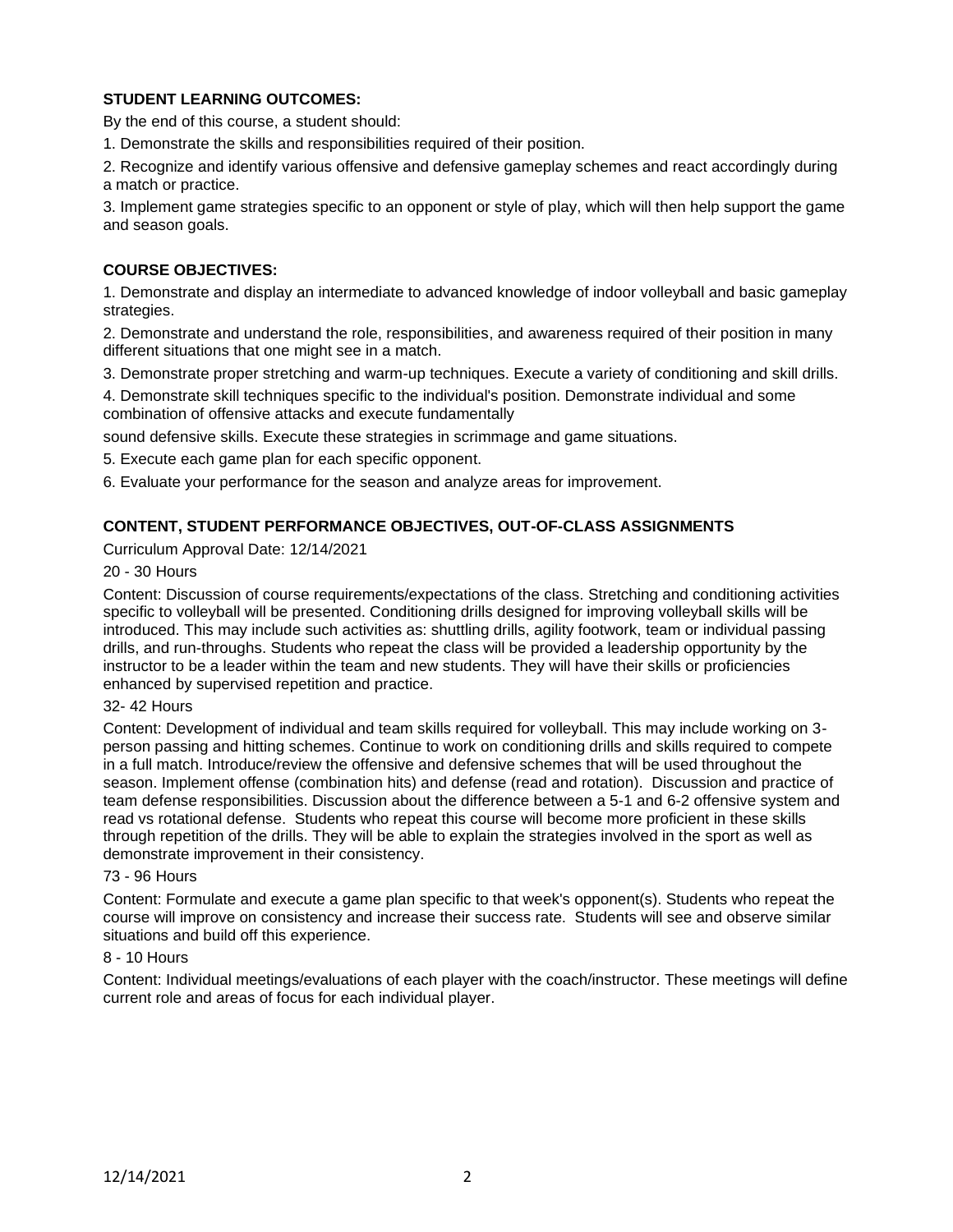# **STUDENT LEARNING OUTCOMES:**

By the end of this course, a student should:

1. Demonstrate the skills and responsibilities required of their position.

2. Recognize and identify various offensive and defensive gameplay schemes and react accordingly during a match or practice.

3. Implement game strategies specific to an opponent or style of play, which will then help support the game and season goals.

### **COURSE OBJECTIVES:**

1. Demonstrate and display an intermediate to advanced knowledge of indoor volleyball and basic gameplay strategies.

2. Demonstrate and understand the role, responsibilities, and awareness required of their position in many different situations that one might see in a match.

3. Demonstrate proper stretching and warm-up techniques. Execute a variety of conditioning and skill drills.

4. Demonstrate skill techniques specific to the individual's position. Demonstrate individual and some combination of offensive attacks and execute fundamentally

sound defensive skills. Execute these strategies in scrimmage and game situations.

5. Execute each game plan for each specific opponent.

6. Evaluate your performance for the season and analyze areas for improvement.

## **CONTENT, STUDENT PERFORMANCE OBJECTIVES, OUT-OF-CLASS ASSIGNMENTS**

Curriculum Approval Date: 12/14/2021

## 20 - 30 Hours

Content: Discussion of course requirements/expectations of the class. Stretching and conditioning activities specific to volleyball will be presented. Conditioning drills designed for improving volleyball skills will be introduced. This may include such activities as: shuttling drills, agility footwork, team or individual passing drills, and run-throughs. Students who repeat the class will be provided a leadership opportunity by the instructor to be a leader within the team and new students. They will have their skills or proficiencies enhanced by supervised repetition and practice.

#### 32- 42 Hours

Content: Development of individual and team skills required for volleyball. This may include working on 3 person passing and hitting schemes. Continue to work on conditioning drills and skills required to compete in a full match. Introduce/review the offensive and defensive schemes that will be used throughout the season. Implement offense (combination hits) and defense (read and rotation). Discussion and practice of team defense responsibilities. Discussion about the difference between a 5-1 and 6-2 offensive system and read vs rotational defense. Students who repeat this course will become more proficient in these skills through repetition of the drills. They will be able to explain the strategies involved in the sport as well as demonstrate improvement in their consistency.

#### 73 - 96 Hours

Content: Formulate and execute a game plan specific to that week's opponent(s). Students who repeat the course will improve on consistency and increase their success rate. Students will see and observe similar situations and build off this experience.

#### 8 - 10 Hours

Content: Individual meetings/evaluations of each player with the coach/instructor. These meetings will define current role and areas of focus for each individual player.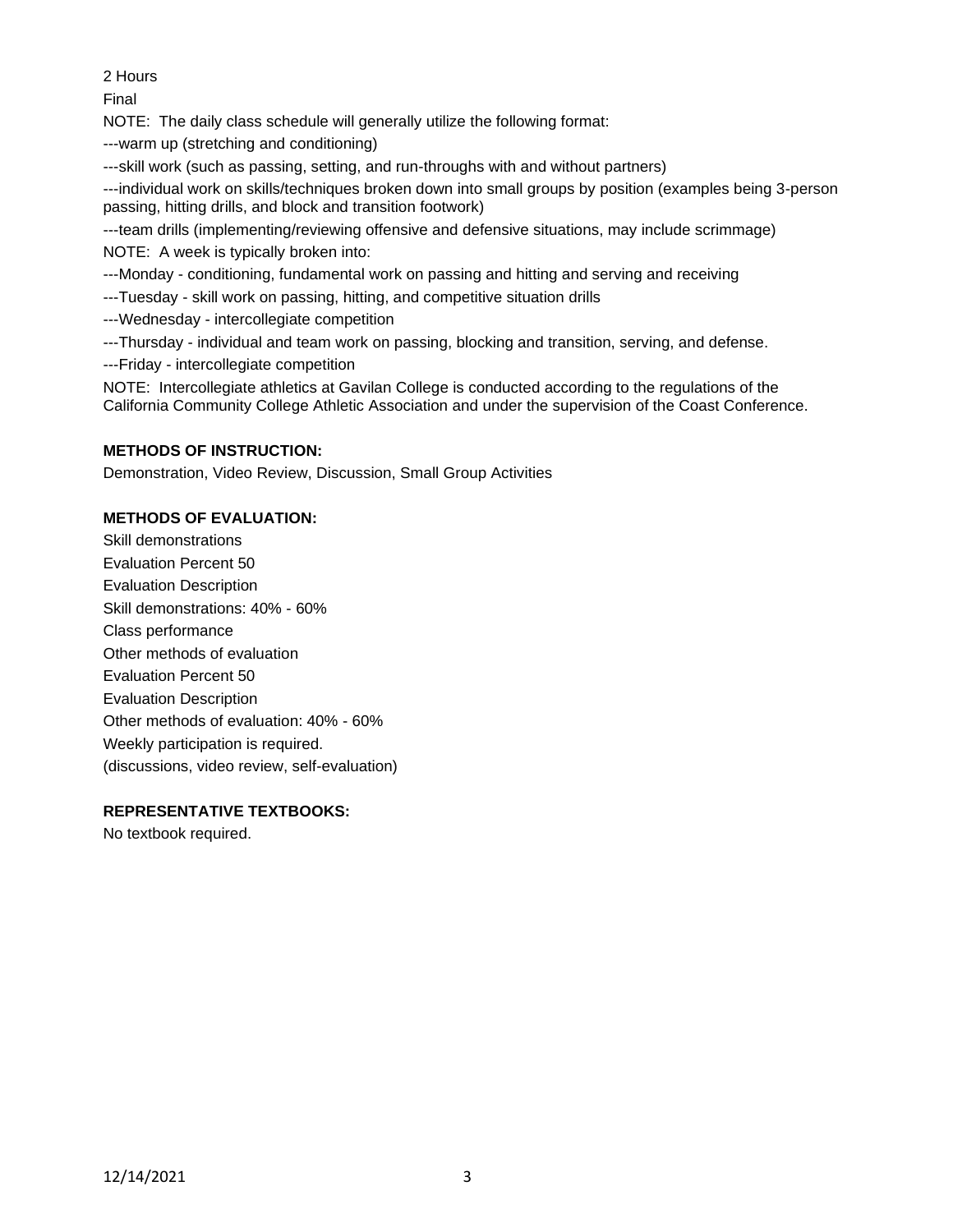2 Hours

Final

NOTE: The daily class schedule will generally utilize the following format:

---warm up (stretching and conditioning)

---skill work (such as passing, setting, and run-throughs with and without partners)

---individual work on skills/techniques broken down into small groups by position (examples being 3-person passing, hitting drills, and block and transition footwork)

---team drills (implementing/reviewing offensive and defensive situations, may include scrimmage)

NOTE: A week is typically broken into:

---Monday - conditioning, fundamental work on passing and hitting and serving and receiving

---Tuesday - skill work on passing, hitting, and competitive situation drills

- ---Wednesday intercollegiate competition
- ---Thursday individual and team work on passing, blocking and transition, serving, and defense.
- ---Friday intercollegiate competition

NOTE: Intercollegiate athletics at Gavilan College is conducted according to the regulations of the California Community College Athletic Association and under the supervision of the Coast Conference.

## **METHODS OF INSTRUCTION:**

Demonstration, Video Review, Discussion, Small Group Activities

## **METHODS OF EVALUATION:**

Skill demonstrations Evaluation Percent 50 Evaluation Description Skill demonstrations: 40% - 60% Class performance Other methods of evaluation Evaluation Percent 50 Evaluation Description Other methods of evaluation: 40% - 60% Weekly participation is required. (discussions, video review, self-evaluation)

## **REPRESENTATIVE TEXTBOOKS:**

No textbook required.